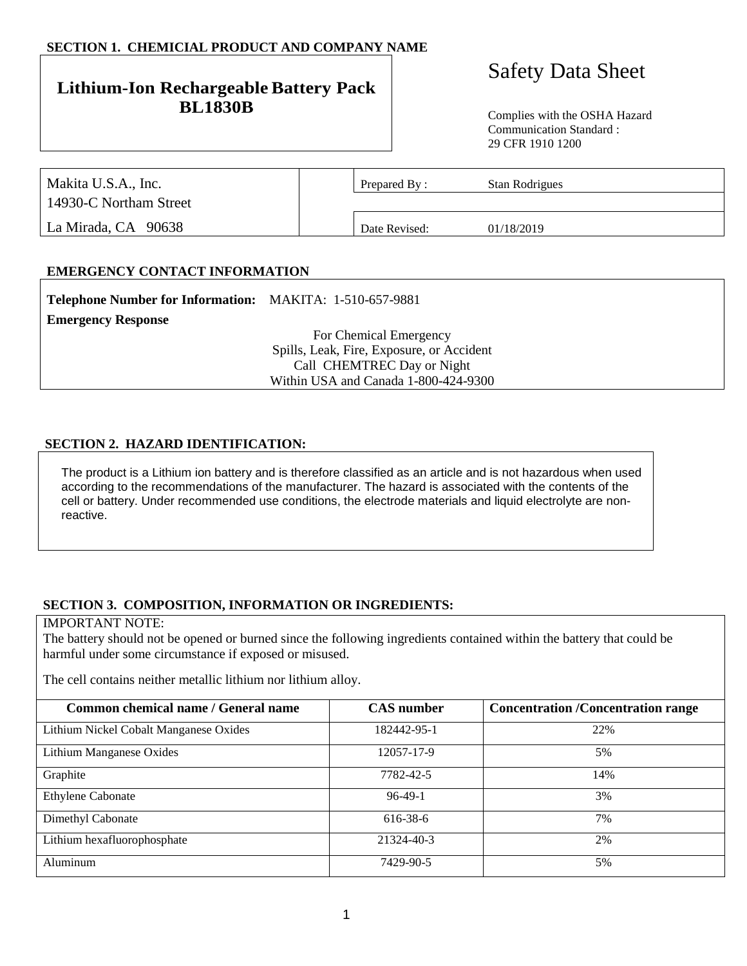## **SECTION 1. CHEMICIAL PRODUCT AND COMPANY NAME**

## **Lithium-Ion Rechargeable Battery Pack BL1830B** Complies with the OSHA Hazard

# Safety Data Sheet

Communication Standard : 29 CFR 1910 1200

| Makita U.S.A., Inc.    | Prepared By:  | Stan Rodrigues |  |
|------------------------|---------------|----------------|--|
| 14930-C Northam Street |               |                |  |
| La Mirada, CA 90638    | Date Revised: | 01/18/2019     |  |

## **EMERGENCY CONTACT INFORMATION**

| <b>Telephone Number for Information:</b> MAKITA: 1-510-657-9881 |                                           |
|-----------------------------------------------------------------|-------------------------------------------|
| <b>Emergency Response</b>                                       |                                           |
|                                                                 | For Chemical Emergency                    |
|                                                                 | Spills, Leak, Fire, Exposure, or Accident |
|                                                                 | Call CHEMTREC Day or Night                |
|                                                                 | Within USA and Canada 1-800-424-9300      |

## **SECTION 2. HAZARD IDENTIFICATION:**

The product is a Lithium ion battery and is therefore classified as an article and is not hazardous when used according to the recommendations of the manufacturer. The hazard is associated with the contents of the cell or battery. Under recommended use conditions, the electrode materials and liquid electrolyte are nonreactive.

## **SECTION 3. COMPOSITION, INFORMATION OR INGREDIENTS:**

#### IMPORTANT NOTE:

The battery should not be opened or burned since the following ingredients contained within the battery that could be harmful under some circumstance if exposed or misused.

The cell contains neither metallic lithium nor lithium alloy.

| Common chemical name / General name    | <b>CAS</b> number | <b>Concentration /Concentration range</b> |
|----------------------------------------|-------------------|-------------------------------------------|
| Lithium Nickel Cobalt Manganese Oxides | 182442-95-1       | 22%                                       |
| Lithium Manganese Oxides               | 12057-17-9        | 5%                                        |
| Graphite                               | 7782-42-5         | 14%                                       |
| Ethylene Cabonate                      | $96-49-1$         | 3%                                        |
| Dimethyl Cabonate                      | 616-38-6          | 7%                                        |
| Lithium hexafluorophosphate            | 21324-40-3        | 2%                                        |
| Aluminum                               | 7429-90-5         | 5%                                        |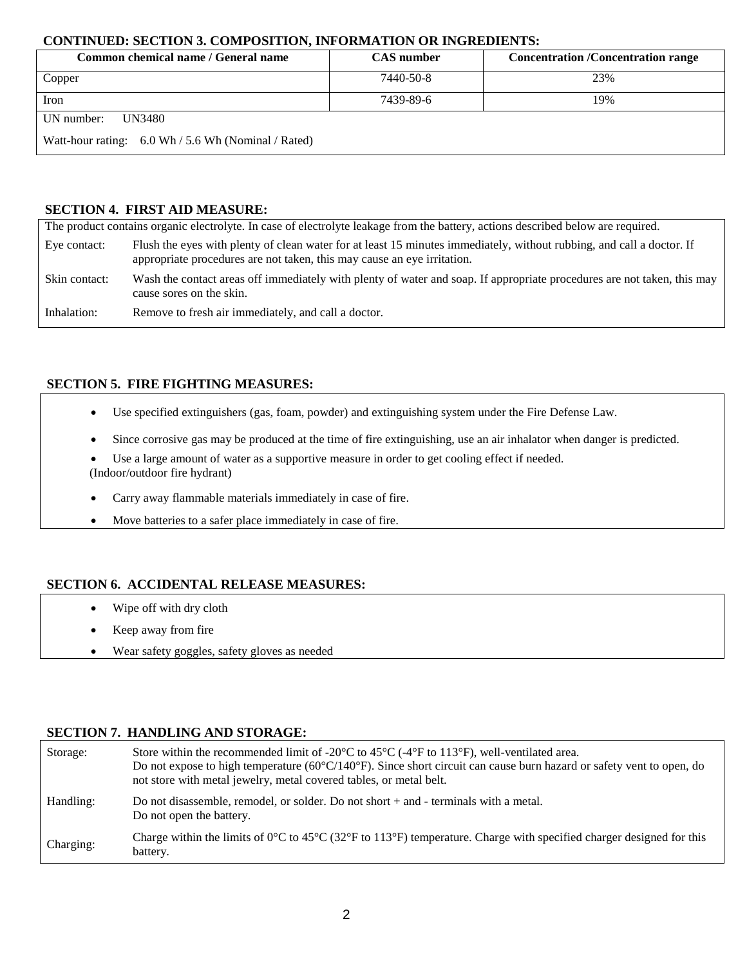## **CONTINUED: SECTION 3. COMPOSITION, INFORMATION OR INGREDIENTS:**

| Common chemical name / General name                                   | <b>CAS</b> number | <b>Concentration /Concentration range</b> |
|-----------------------------------------------------------------------|-------------------|-------------------------------------------|
| Copper                                                                | 7440-50-8         | 23%                                       |
| Iron                                                                  | 7439-89-6         | 19%                                       |
| UN number:<br>UN3480                                                  |                   |                                           |
| Watt-hour rating: $6.0 \text{ Wh} / 5.6 \text{ Wh}$ (Nominal / Rated) |                   |                                           |

## **SECTION 4. FIRST AID MEASURE:**

|               | The product contains organic electrolyte. In case of electrolyte leakage from the battery, actions described below are required.                                                                 |
|---------------|--------------------------------------------------------------------------------------------------------------------------------------------------------------------------------------------------|
| Eye contact:  | Flush the eyes with plenty of clean water for at least 15 minutes immediately, without rubbing, and call a doctor. If<br>appropriate procedures are not taken, this may cause an eye irritation. |
| Skin contact: | Wash the contact areas off immediately with plenty of water and soap. If appropriate procedures are not taken, this may<br>cause sores on the skin.                                              |
| Inhalation:   | Remove to fresh air immediately, and call a doctor.                                                                                                                                              |

## **SECTION 5. FIRE FIGHTING MEASURES:**

- Use specified extinguishers (gas, foam, powder) and extinguishing system under the Fire Defense Law.
- Since corrosive gas may be produced at the time of fire extinguishing, use an air inhalator when danger is predicted.
- Use a large amount of water as a supportive measure in order to get cooling effect if needed. (Indoor/outdoor fire hydrant)
- Carry away flammable materials immediately in case of fire.
- Move batteries to a safer place immediately in case of fire.

## **SECTION 6. ACCIDENTAL RELEASE MEASURES:**

- Wipe off with dry cloth
- Keep away from fire
- Wear safety goggles, safety gloves as needed

## **SECTION 7. HANDLING AND STORAGE:**

| Storage:  | Store within the recommended limit of -20 $\degree$ C to 45 $\degree$ C (-4 $\degree$ F to 113 $\degree$ F), well-ventilated area.<br>Do not expose to high temperature $(60^{\circ}C/140^{\circ}F)$ . Since short circuit can cause burn hazard or safety vent to open, do<br>not store with metal jewelry, metal covered tables, or metal belt. |
|-----------|---------------------------------------------------------------------------------------------------------------------------------------------------------------------------------------------------------------------------------------------------------------------------------------------------------------------------------------------------|
| Handling: | Do not disassemble, remodel, or solder. Do not short $+$ and $-$ terminals with a metal.<br>Do not open the battery.                                                                                                                                                                                                                              |
| Charging: | Charge within the limits of $0^{\circ}$ C to $45^{\circ}$ C (32 $^{\circ}$ F to 113 $^{\circ}$ F) temperature. Charge with specified charger designed for this<br>battery.                                                                                                                                                                        |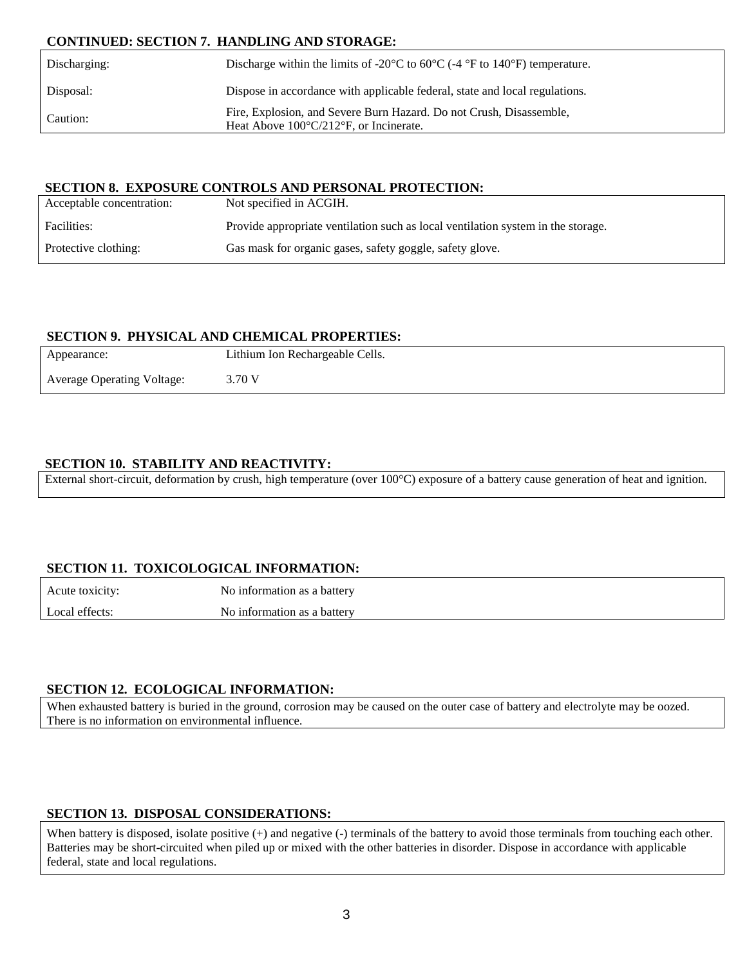## **CONTINUED: SECTION 7. HANDLING AND STORAGE:**

| Discharging: | Discharge within the limits of -20 $^{\circ}$ C to 60 $^{\circ}$ C (-4 $^{\circ}$ F to 140 $^{\circ}$ F) temperature.          |
|--------------|--------------------------------------------------------------------------------------------------------------------------------|
| Disposal:    | Dispose in accordance with applicable federal, state and local regulations.                                                    |
| Caution:     | Fire, Explosion, and Severe Burn Hazard. Do not Crush, Disassemble,<br>Heat Above $100^{\circ}C/212^{\circ}F$ , or Incinerate. |

## **SECTION 8. EXPOSURE CONTROLS AND PERSONAL PROTECTION:**

| Acceptable concentration: | Not specified in ACGIH.                                                          |
|---------------------------|----------------------------------------------------------------------------------|
| Facilities:               | Provide appropriate ventilation such as local ventilation system in the storage. |
| Protective clothing:      | Gas mask for organic gases, safety goggle, safety glove.                         |

## **SECTION 9. PHYSICAL AND CHEMICAL PROPERTIES:**

| Appearance:                       | Lithium Ion Rechargeable Cells. |
|-----------------------------------|---------------------------------|
| <b>Average Operating Voltage:</b> | 3.70 V                          |

## **SECTION 10. STABILITY AND REACTIVITY:**

External short-circuit, deformation by crush, high temperature (over 100°C) exposure of a battery cause generation of heat and ignition.

## **SECTION 11. TOXICOLOGICAL INFORMATION:**

| Acute toxicity: | No information as a battery |
|-----------------|-----------------------------|
| Local effects:  | No information as a battery |

## **SECTION 12. ECOLOGICAL INFORMATION:**

When exhausted battery is buried in the ground, corrosion may be caused on the outer case of battery and electrolyte may be oozed. There is no information on environmental influence.

## **SECTION 13. DISPOSAL CONSIDERATIONS:**

When battery is disposed, isolate positive (+) and negative (-) terminals of the battery to avoid those terminals from touching each other. Batteries may be short-circuited when piled up or mixed with the other batteries in disorder. Dispose in accordance with applicable federal, state and local regulations.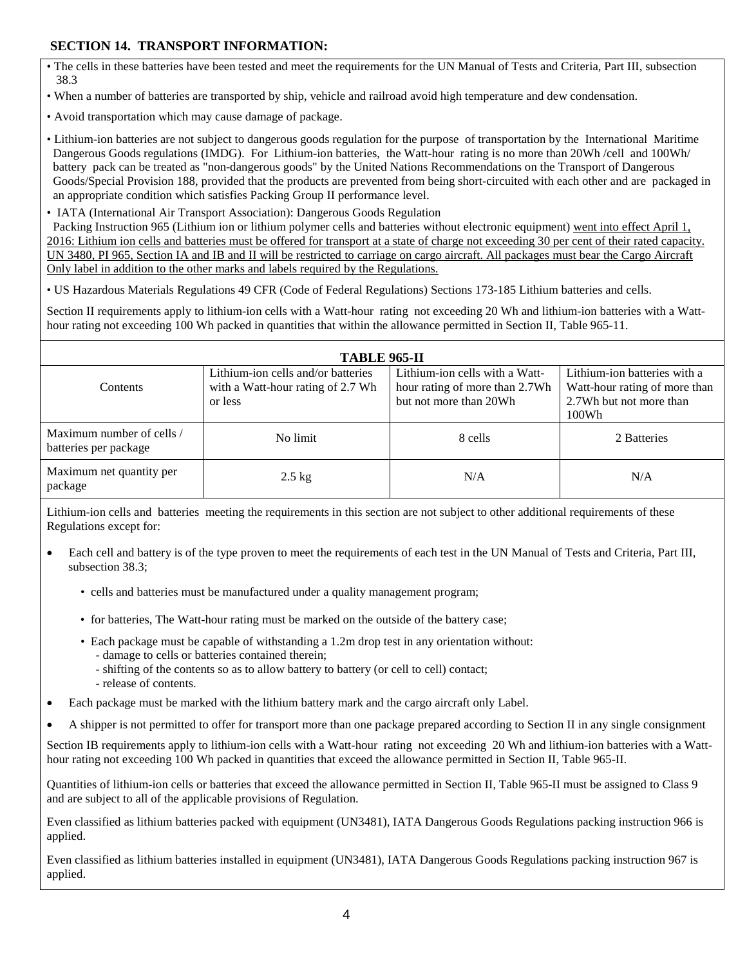## **SECTION 14. TRANSPORT INFORMATION:**

- The cells in these batteries have been tested and meet the requirements for the UN Manual of Tests and Criteria, Part III, subsection 38.3
- When a number of batteries are transported by ship, vehicle and railroad avoid high temperature and dew condensation.
- Avoid transportation which may cause damage of package.

• Lithium-ion batteries are not subject to dangerous goods regulation for the purpose of transportation by the International Maritime Dangerous Goods regulations (IMDG). For Lithium-ion batteries, the Watt-hour rating is no more than 20Wh /cell and 100Wh/ battery pack can be treated as "non-dangerous goods" by the United Nations Recommendations on the Transport of Dangerous Goods/Special Provision 188, provided that the products are prevented from being short-circuited with each other and are packaged in an appropriate condition which satisfies Packing Group II performance level.

- IATA (International Air Transport Association): Dangerous Goods Regulation Packing Instruction 965 (Lithium ion or lithium polymer cells and batteries without electronic equipment) went into effect April 1, 2016: Lithium ion cells and batteries must be offered for transport at a state of charge not exceeding 30 per cent of their rated capacity. UN 3480, PI 965, Section IA and IB and II will be restricted to carriage on cargo aircraft. All packages must bear the Cargo Aircraft Only label in addition to the other marks and labels required by the Regulations.
- US Hazardous Materials Regulations 49 CFR (Code of Federal Regulations) Sections 173-185 Lithium batteries and cells.

Section II requirements apply to lithium-ion cells with a Watt-hour rating not exceeding 20 Wh and lithium-ion batteries with a Watthour rating not exceeding 100 Wh packed in quantities that within the allowance permitted in Section II, Table 965-11.

## **TABLE 965-II**

| TADLE 905-II                                       |                                                                                    |                                                                                            |                                                                                                   |
|----------------------------------------------------|------------------------------------------------------------------------------------|--------------------------------------------------------------------------------------------|---------------------------------------------------------------------------------------------------|
| <b>Contents</b>                                    | Lithium-ion cells and/or batteries<br>with a Watt-hour rating of 2.7 Wh<br>or less | Lithium-ion cells with a Watt-<br>hour rating of more than 2.7Wh<br>but not more than 20Wh | Lithium-ion batteries with a<br>Watt-hour rating of more than<br>2.7Wh but not more than<br>100Wh |
| Maximum number of cells /<br>batteries per package | No limit                                                                           | 8 cells                                                                                    | 2 Batteries                                                                                       |
| Maximum net quantity per<br>package                | $2.5$ kg                                                                           | N/A                                                                                        | N/A                                                                                               |

Lithium-ion cells and batteries meeting the requirements in this section are not subject to other additional requirements of these Regulations except for:

- Each cell and battery is of the type proven to meet the requirements of each test in the UN Manual of Tests and Criteria, Part III, subsection 38.3;
	- cells and batteries must be manufactured under a quality management program;
	- for batteries, The Watt-hour rating must be marked on the outside of the battery case;
	- Each package must be capable of withstanding a 1.2m drop test in any orientation without: - damage to cells or batteries contained therein;
		- shifting of the contents so as to allow battery to battery (or cell to cell) contact;
		- release of contents.
- Each package must be marked with the lithium battery mark and the cargo aircraft only Label.
- A shipper is not permitted to offer for transport more than one package prepared according to Section II in any single consignment

Section IB requirements apply to lithium-ion cells with a Watt-hour rating not exceeding 20 Wh and lithium-ion batteries with a Watthour rating not exceeding 100 Wh packed in quantities that exceed the allowance permitted in Section II, Table 965-II.

Quantities of lithium-ion cells or batteries that exceed the allowance permitted in Section II, Table 965-II must be assigned to Class 9 and are subject to all of the applicable provisions of Regulation.

Even classified as lithium batteries packed with equipment (UN3481), IATA Dangerous Goods Regulations packing instruction 966 is applied.

Even classified as lithium batteries installed in equipment (UN3481), IATA Dangerous Goods Regulations packing instruction 967 is applied.